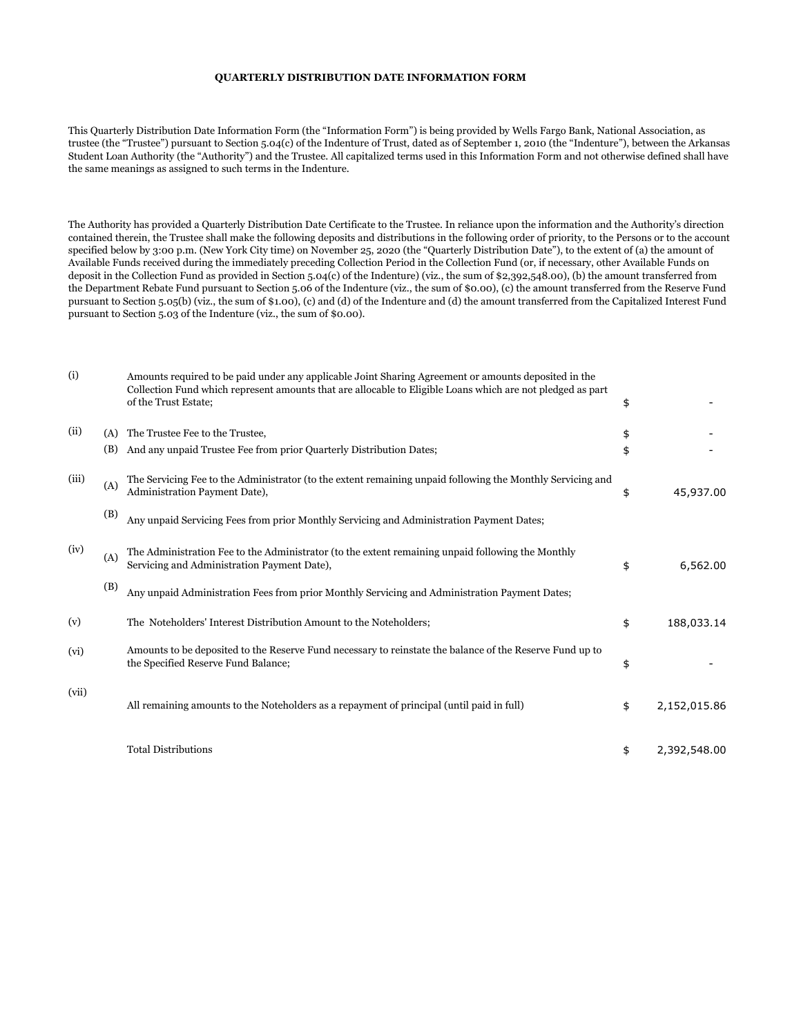## **QUARTERLY DISTRIBUTION DATE INFORMATION FORM**

This Quarterly Distribution Date Information Form (the "Information Form") is being provided by Wells Fargo Bank, National Association, as trustee (the "Trustee") pursuant to Section 5.04(c) of the Indenture of Trust, dated as of September 1, 2010 (the "Indenture"), between the Arkansas Student Loan Authority (the "Authority") and the Trustee. All capitalized terms used in this Information Form and not otherwise defined shall have the same meanings as assigned to such terms in the Indenture.

The Authority has provided a Quarterly Distribution Date Certificate to the Trustee. In reliance upon the information and the Authority's direction contained therein, the Trustee shall make the following deposits and distributions in the following order of priority, to the Persons or to the account specified below by 3:00 p.m. (New York City time) on November 25, 2020 (the "Quarterly Distribution Date"), to the extent of (a) the amount of Available Funds received during the immediately preceding Collection Period in the Collection Fund (or, if necessary, other Available Funds on deposit in the Collection Fund as provided in Section 5.04(c) of the Indenture) (viz., the sum of \$2,392,548.00), (b) the amount transferred from the Department Rebate Fund pursuant to Section 5.06 of the Indenture (viz., the sum of \$0.00), (c) the amount transferred from the Reserve Fund pursuant to Section 5.05(b) (viz., the sum of \$1.00), (c) and (d) of the Indenture and (d) the amount transferred from the Capitalized Interest Fund pursuant to Section 5.03 of the Indenture (viz., the sum of \$0.00).

| (i)   |     | Amounts required to be paid under any applicable Joint Sharing Agreement or amounts deposited in the<br>Collection Fund which represent amounts that are allocable to Eligible Loans which are not pledged as part<br>of the Trust Estate; | \$                 |
|-------|-----|--------------------------------------------------------------------------------------------------------------------------------------------------------------------------------------------------------------------------------------------|--------------------|
| (ii)  | (A) | The Trustee Fee to the Trustee,                                                                                                                                                                                                            | \$                 |
|       | (B) | And any unpaid Trustee Fee from prior Quarterly Distribution Dates;                                                                                                                                                                        | \$                 |
| (iii) | (A) | The Servicing Fee to the Administrator (to the extent remaining unpaid following the Monthly Servicing and<br>Administration Payment Date),                                                                                                | \$<br>45,937.00    |
|       | (B) | Any unpaid Servicing Fees from prior Monthly Servicing and Administration Payment Dates;                                                                                                                                                   |                    |
| (iv)  | (A) | The Administration Fee to the Administrator (to the extent remaining unpaid following the Monthly<br>Servicing and Administration Payment Date),                                                                                           | \$<br>6,562.00     |
|       | (B) | Any unpaid Administration Fees from prior Monthly Servicing and Administration Payment Dates;                                                                                                                                              |                    |
| (v)   |     | The Noteholders' Interest Distribution Amount to the Noteholders;                                                                                                                                                                          | \$<br>188,033.14   |
| (vi)  |     | Amounts to be deposited to the Reserve Fund necessary to reinstate the balance of the Reserve Fund up to<br>the Specified Reserve Fund Balance;                                                                                            | \$                 |
| (vii) |     | All remaining amounts to the Noteholders as a repayment of principal (until paid in full)                                                                                                                                                  | \$<br>2,152,015.86 |
|       |     | <b>Total Distributions</b>                                                                                                                                                                                                                 | \$<br>2,392,548.00 |